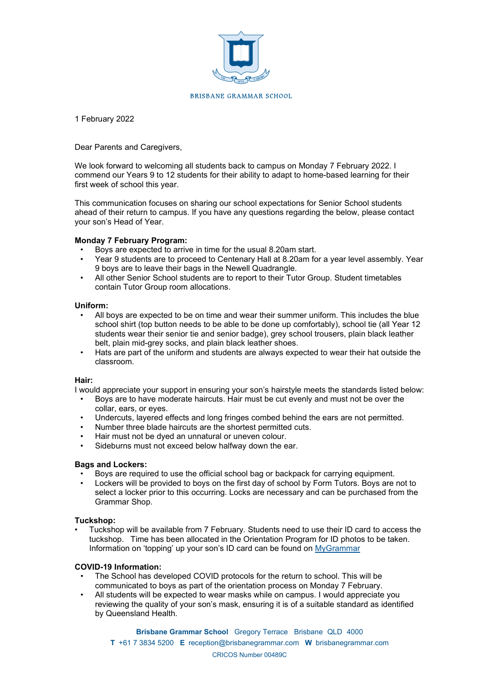

## BRISBANE GRAMMAR SCHOOL

1 February 2022

# Dear Parents and Caregivers,

We look forward to welcoming all students back to campus on Monday 7 February 2022. I commend our Years 9 to 12 students for their ability to adapt to home-based learning for their first week of school this year.

This communication focuses on sharing our school expectations for Senior School students ahead of their return to campus. If you have any questions regarding the below, please contact your son's Head of Year.

# **Monday 7 February Program:**

- Boys are expected to arrive in time for the usual 8.20am start.
- Year 9 students are to proceed to Centenary Hall at 8.20am for a year level assembly. Year 9 boys are to leave their bags in the Newell Quadrangle.
- All other Senior School students are to report to their Tutor Group. Student timetables contain Tutor Group room allocations.

# **Uniform:**

- All boys are expected to be on time and wear their summer uniform. This includes the blue school shirt (top button needs to be able to be done up comfortably), school tie (all Year 12 students wear their senior tie and senior badge), grey school trousers, plain black leather belt, plain mid-grey socks, and plain black leather shoes.
- Hats are part of the uniform and students are always expected to wear their hat outside the classroom.

# **Hair:**

I would appreciate your support in ensuring your son's hairstyle meets the standards listed below:

- Boys are to have moderate haircuts. Hair must be cut evenly and must not be over the collar, ears, or eyes.
- Undercuts, layered effects and long fringes combed behind the ears are not permitted.
- Number three blade haircuts are the shortest permitted cuts.
- Hair must not be dyed an unnatural or uneven colour.
- Sideburns must not exceed below halfway down the ear.

# **Bags and Lockers:**

- Boys are required to use the official school bag or backpack for carrying equipment.
- Lockers will be provided to boys on the first day of school by Form Tutors. Boys are not to select a locker prior to this occurring. Locks are necessary and can be purchased from the Grammar Shop.

# **Tuckshop:**

• Tuckshop will be available from 7 February. Students need to use their ID card to access the tuckshop. Time has been allocated in the Orientation Program for ID photos to be taken. Information on 'topping' up your son's ID card can be found on [MyGrammar](https://intranet.brisbanegrammar.com/pub/master/Pages/viewContent.aspx?ID=398&ListID=6f0c5e11-140c-4764-8b3f-7ca23c2cd90b&Category=Main&MainCategory=Auxiliary)

# **COVID-19 Information:**

- The School has developed COVID protocols for the return to school. This will be communicated to boys as part of the orientation process on Monday 7 February.
- All students will be expected to wear masks while on campus. I would appreciate you reviewing the quality of your son's mask, ensuring it is of a suitable standard as identified by Queensland Health.